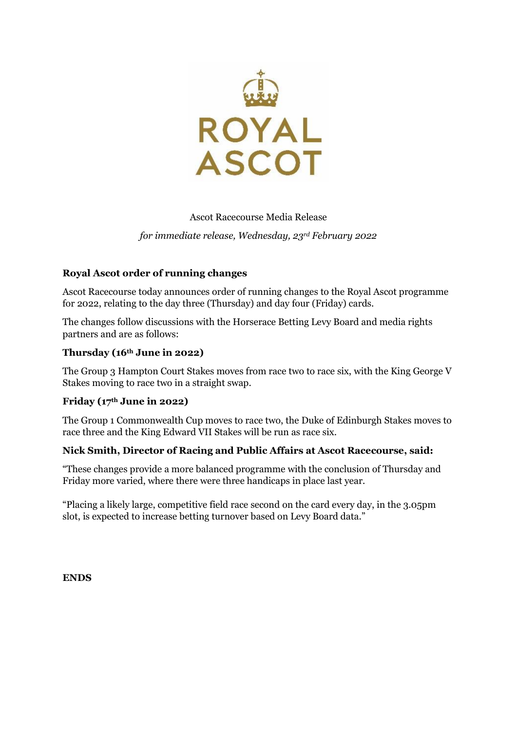

# Ascot Racecourse Media Release

*for immediate release, Wednesday, 23rd February 2022*

# **Royal Ascot order of running changes**

Ascot Racecourse today announces order of running changes to the Royal Ascot programme for 2022, relating to the day three (Thursday) and day four (Friday) cards.

The changes follow discussions with the Horserace Betting Levy Board and media rights partners and are as follows:

# **Thursday (16th June in 2022)**

The Group 3 Hampton Court Stakes moves from race two to race six, with the King George V Stakes moving to race two in a straight swap.

### **Friday (17th June in 2022)**

The Group 1 Commonwealth Cup moves to race two, the Duke of Edinburgh Stakes moves to race three and the King Edward VII Stakes will be run as race six.

### **Nick Smith, Director of Racing and Public Affairs at Ascot Racecourse, said:**

"These changes provide a more balanced programme with the conclusion of Thursday and Friday more varied, where there were three handicaps in place last year.

"Placing a likely large, competitive field race second on the card every day, in the 3.05pm slot, is expected to increase betting turnover based on Levy Board data."

**ENDS**